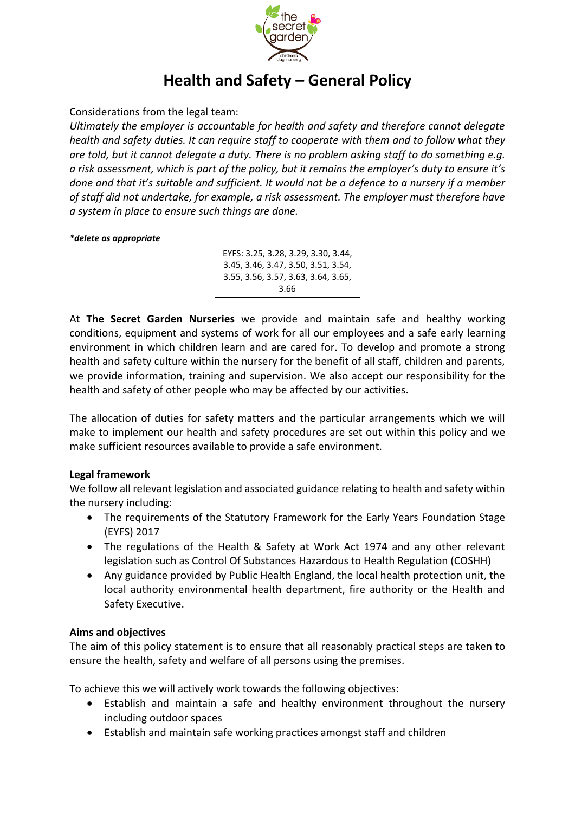

# **Health and Safety – General Policy**

Considerations from the legal team:

*Ultimately the employer is accountable for health and safety and therefore cannot delegate health and safety duties. It can require staff to cooperate with them and to follow what they are told, but it cannot delegate a duty. There is no problem asking staff to do something e.g. a risk assessment, which is part of the policy, but it remains the employer's duty to ensure it's done and that it's suitable and sufficient. It would not be a defence to a nursery if a member of staff did not undertake, for example, a risk assessment. The employer must therefore have a system in place to ensure such things are done.*

#### *\*delete as appropriate*

EYFS: 3.25, 3.28, 3.29, 3.30, 3.44, 3.45, 3.46, 3.47, 3.50, 3.51, 3.54, 3.55, 3.56, 3.57, 3.63, 3.64, 3.65, 3.66

At **The Secret Garden Nurseries** we provide and maintain safe and healthy working conditions, equipment and systems of work for all our employees and a safe early learning environment in which children learn and are cared for. To develop and promote a strong health and safety culture within the nursery for the benefit of all staff, children and parents, we provide information, training and supervision. We also accept our responsibility for the health and safety of other people who may be affected by our activities.

The allocation of duties for safety matters and the particular arrangements which we will make to implement our health and safety procedures are set out within this policy and we make sufficient resources available to provide a safe environment.

### **Legal framework**

We follow all relevant legislation and associated guidance relating to health and safety within the nursery including:

- The requirements of the Statutory Framework for the Early Years Foundation Stage (EYFS) 2017
- The regulations of the Health & Safety at Work Act 1974 and any other relevant legislation such as Control Of Substances Hazardous to Health Regulation (COSHH)
- Any guidance provided by Public Health England, the local health protection unit, the local authority environmental health department, fire authority or the Health and Safety Executive.

### **Aims and objectives**

The aim of this policy statement is to ensure that all reasonably practical steps are taken to ensure the health, safety and welfare of all persons using the premises.

To achieve this we will actively work towards the following objectives:

- Establish and maintain a safe and healthy environment throughout the nursery including outdoor spaces
- Establish and maintain safe working practices amongst staff and children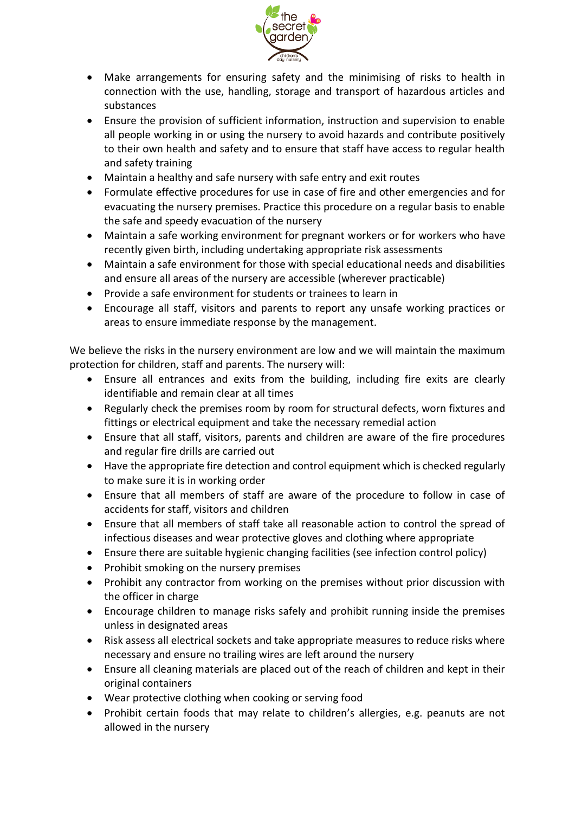

- Make arrangements for ensuring safety and the minimising of risks to health in connection with the use, handling, storage and transport of hazardous articles and substances
- Ensure the provision of sufficient information, instruction and supervision to enable all people working in or using the nursery to avoid hazards and contribute positively to their own health and safety and to ensure that staff have access to regular health and safety training
- Maintain a healthy and safe nursery with safe entry and exit routes
- Formulate effective procedures for use in case of fire and other emergencies and for evacuating the nursery premises. Practice this procedure on a regular basis to enable the safe and speedy evacuation of the nursery
- Maintain a safe working environment for pregnant workers or for workers who have recently given birth, including undertaking appropriate risk assessments
- Maintain a safe environment for those with special educational needs and disabilities and ensure all areas of the nursery are accessible (wherever practicable)
- Provide a safe environment for students or trainees to learn in
- Encourage all staff, visitors and parents to report any unsafe working practices or areas to ensure immediate response by the management.

We believe the risks in the nursery environment are low and we will maintain the maximum protection for children, staff and parents. The nursery will:

- Ensure all entrances and exits from the building, including fire exits are clearly identifiable and remain clear at all times
- Regularly check the premises room by room for structural defects, worn fixtures and fittings or electrical equipment and take the necessary remedial action
- Ensure that all staff, visitors, parents and children are aware of the fire procedures and regular fire drills are carried out
- Have the appropriate fire detection and control equipment which is checked regularly to make sure it is in working order
- Ensure that all members of staff are aware of the procedure to follow in case of accidents for staff, visitors and children
- Ensure that all members of staff take all reasonable action to control the spread of infectious diseases and wear protective gloves and clothing where appropriate
- Ensure there are suitable hygienic changing facilities (see infection control policy)
- Prohibit smoking on the nursery premises
- Prohibit any contractor from working on the premises without prior discussion with the officer in charge
- Encourage children to manage risks safely and prohibit running inside the premises unless in designated areas
- Risk assess all electrical sockets and take appropriate measures to reduce risks where necessary and ensure no trailing wires are left around the nursery
- Ensure all cleaning materials are placed out of the reach of children and kept in their original containers
- Wear protective clothing when cooking or serving food
- Prohibit certain foods that may relate to children's allergies, e.g. peanuts are not allowed in the nursery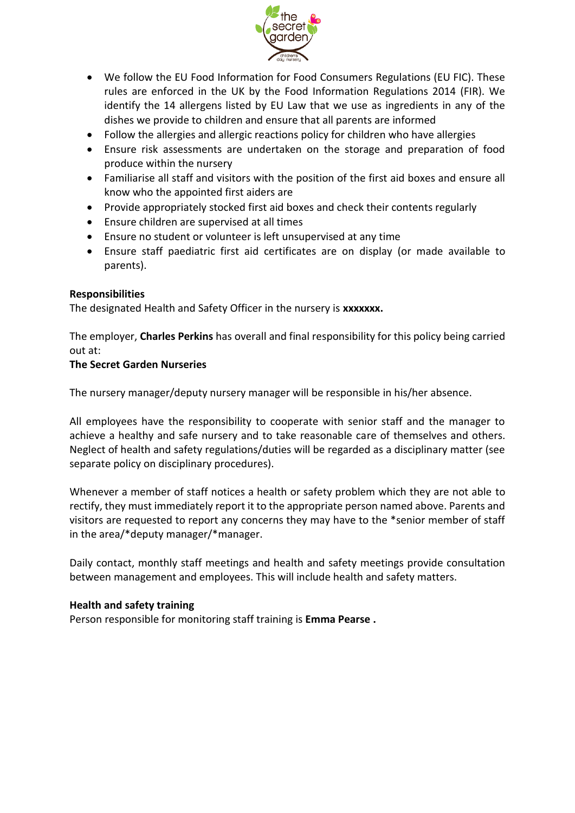

- We follow the EU Food Information for Food Consumers Regulations (EU FIC). These rules are enforced in the UK by the Food Information Regulations 2014 (FIR). We identify the 14 allergens listed by EU Law that we use as ingredients in any of the dishes we provide to children and ensure that all parents are informed
- Follow the allergies and allergic reactions policy for children who have allergies
- Ensure risk assessments are undertaken on the storage and preparation of food produce within the nursery
- Familiarise all staff and visitors with the position of the first aid boxes and ensure all know who the appointed first aiders are
- Provide appropriately stocked first aid boxes and check their contents regularly
- Ensure children are supervised at all times
- Ensure no student or volunteer is left unsupervised at any time
- Ensure staff paediatric first aid certificates are on display (or made available to parents).

#### **Responsibilities**

The designated Health and Safety Officer in the nursery is **xxxxxxx.**

The employer, **Charles Perkins** has overall and final responsibility for this policy being carried out at:

#### **The Secret Garden Nurseries**

The nursery manager/deputy nursery manager will be responsible in his/her absence.

All employees have the responsibility to cooperate with senior staff and the manager to achieve a healthy and safe nursery and to take reasonable care of themselves and others. Neglect of health and safety regulations/duties will be regarded as a disciplinary matter (see separate policy on disciplinary procedures).

Whenever a member of staff notices a health or safety problem which they are not able to rectify, they must immediately report it to the appropriate person named above. Parents and visitors are requested to report any concerns they may have to the \*senior member of staff in the area/\*deputy manager/\*manager.

Daily contact, monthly staff meetings and health and safety meetings provide consultation between management and employees. This will include health and safety matters.

#### **Health and safety training**

Person responsible for monitoring staff training is **Emma Pearse .**